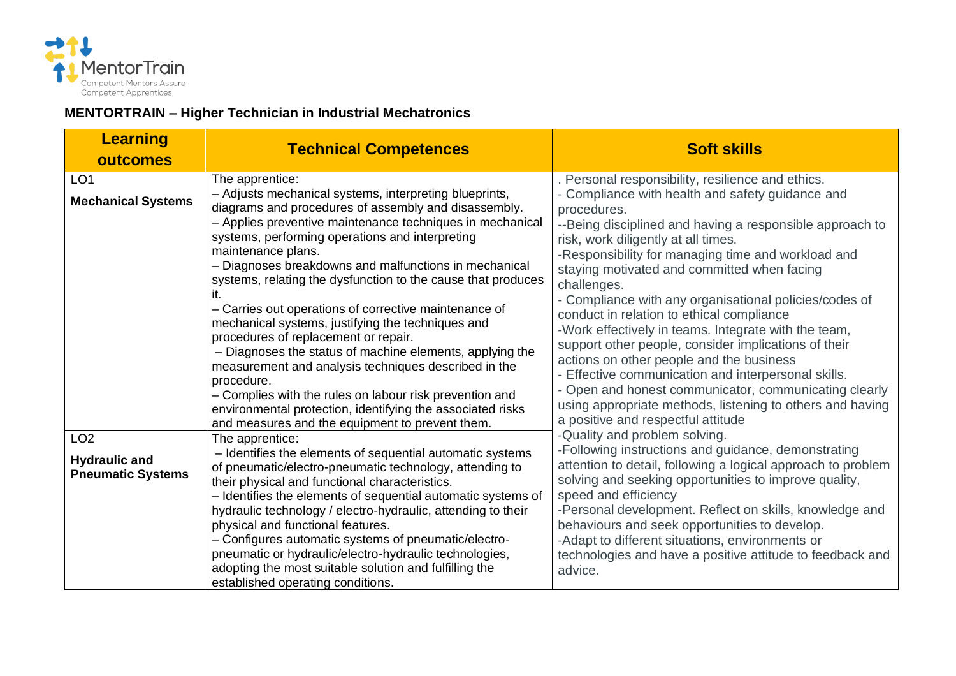

## **MENTORTRAIN – Higher Technician in Industrial Mechatronics**

| <b>Learning</b><br>outcomes                                         | <b>Technical Competences</b>                                                                                                                                                                                                                                                                                                                                                                                                                                                                                                                                                                                                                                                                                                                                                                                                                                                | <b>Soft skills</b>                                                                                                                                                                                                                                                                                                                                                                                                                                                                                                                                                                                                                                                                                                                                                                                                                                                 |
|---------------------------------------------------------------------|-----------------------------------------------------------------------------------------------------------------------------------------------------------------------------------------------------------------------------------------------------------------------------------------------------------------------------------------------------------------------------------------------------------------------------------------------------------------------------------------------------------------------------------------------------------------------------------------------------------------------------------------------------------------------------------------------------------------------------------------------------------------------------------------------------------------------------------------------------------------------------|--------------------------------------------------------------------------------------------------------------------------------------------------------------------------------------------------------------------------------------------------------------------------------------------------------------------------------------------------------------------------------------------------------------------------------------------------------------------------------------------------------------------------------------------------------------------------------------------------------------------------------------------------------------------------------------------------------------------------------------------------------------------------------------------------------------------------------------------------------------------|
| LO <sub>1</sub><br><b>Mechanical Systems</b>                        | The apprentice:<br>- Adjusts mechanical systems, interpreting blueprints,<br>diagrams and procedures of assembly and disassembly.<br>- Applies preventive maintenance techniques in mechanical<br>systems, performing operations and interpreting<br>maintenance plans.<br>- Diagnoses breakdowns and malfunctions in mechanical<br>systems, relating the dysfunction to the cause that produces<br>it.<br>- Carries out operations of corrective maintenance of<br>mechanical systems, justifying the techniques and<br>procedures of replacement or repair.<br>- Diagnoses the status of machine elements, applying the<br>measurement and analysis techniques described in the<br>procedure.<br>- Complies with the rules on labour risk prevention and<br>environmental protection, identifying the associated risks<br>and measures and the equipment to prevent them. | . Personal responsibility, resilience and ethics.<br>- Compliance with health and safety guidance and<br>procedures.<br>--Being disciplined and having a responsible approach to<br>risk, work diligently at all times.<br>-Responsibility for managing time and workload and<br>staying motivated and committed when facing<br>challenges.<br>- Compliance with any organisational policies/codes of<br>conduct in relation to ethical compliance<br>-Work effectively in teams. Integrate with the team,<br>support other people, consider implications of their<br>actions on other people and the business<br>- Effective communication and interpersonal skills.<br>- Open and honest communicator, communicating clearly<br>using appropriate methods, listening to others and having<br>a positive and respectful attitude<br>-Quality and problem solving. |
| LO <sub>2</sub><br><b>Hydraulic and</b><br><b>Pneumatic Systems</b> | The apprentice:<br>- Identifies the elements of sequential automatic systems<br>of pneumatic/electro-pneumatic technology, attending to<br>their physical and functional characteristics.<br>- Identifies the elements of sequential automatic systems of<br>hydraulic technology / electro-hydraulic, attending to their<br>physical and functional features.<br>- Configures automatic systems of pneumatic/electro-<br>pneumatic or hydraulic/electro-hydraulic technologies,<br>adopting the most suitable solution and fulfilling the<br>established operating conditions.                                                                                                                                                                                                                                                                                             | -Following instructions and guidance, demonstrating<br>attention to detail, following a logical approach to problem<br>solving and seeking opportunities to improve quality,<br>speed and efficiency<br>-Personal development. Reflect on skills, knowledge and<br>behaviours and seek opportunities to develop.<br>-Adapt to different situations, environments or<br>technologies and have a positive attitude to feedback and<br>advice.                                                                                                                                                                                                                                                                                                                                                                                                                        |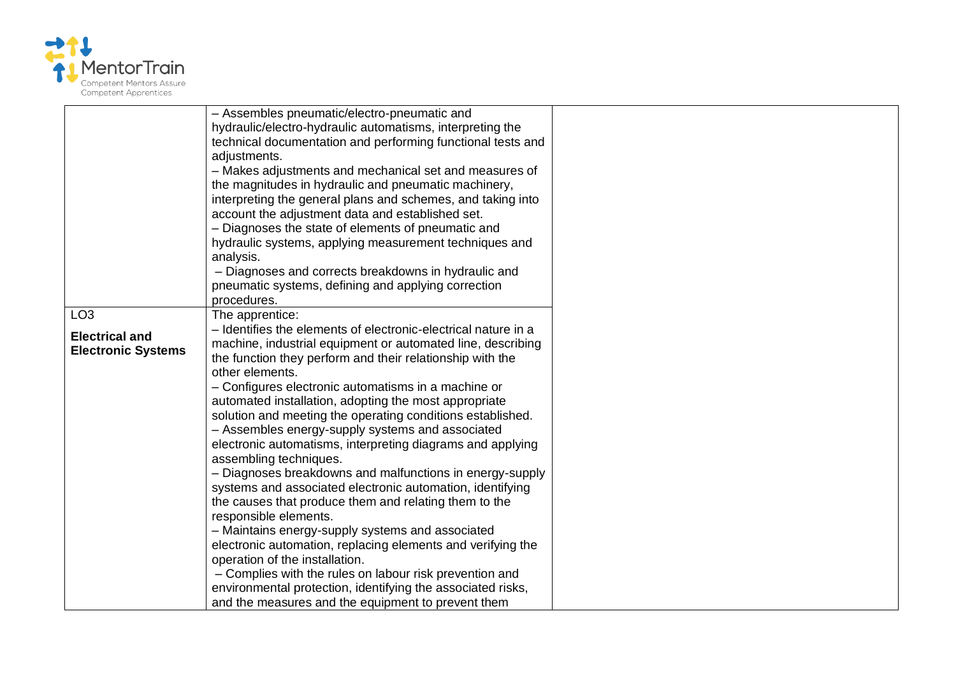

|                           | - Assembles pneumatic/electro-pneumatic and<br>hydraulic/electro-hydraulic automatisms, interpreting the              |
|---------------------------|-----------------------------------------------------------------------------------------------------------------------|
|                           | technical documentation and performing functional tests and                                                           |
|                           | adjustments.                                                                                                          |
|                           | - Makes adjustments and mechanical set and measures of                                                                |
|                           | the magnitudes in hydraulic and pneumatic machinery,                                                                  |
|                           | interpreting the general plans and schemes, and taking into                                                           |
|                           | account the adjustment data and established set.                                                                      |
|                           | - Diagnoses the state of elements of pneumatic and                                                                    |
|                           | hydraulic systems, applying measurement techniques and                                                                |
|                           | analysis.                                                                                                             |
|                           | - Diagnoses and corrects breakdowns in hydraulic and<br>pneumatic systems, defining and applying correction           |
|                           | procedures.                                                                                                           |
| LO <sub>3</sub>           | The apprentice:                                                                                                       |
|                           | - Identifies the elements of electronic-electrical nature in a                                                        |
| <b>Electrical and</b>     | machine, industrial equipment or automated line, describing                                                           |
| <b>Electronic Systems</b> | the function they perform and their relationship with the                                                             |
|                           | other elements.                                                                                                       |
|                           | - Configures electronic automatisms in a machine or                                                                   |
|                           | automated installation, adopting the most appropriate                                                                 |
|                           | solution and meeting the operating conditions established.                                                            |
|                           | - Assembles energy-supply systems and associated                                                                      |
|                           | electronic automatisms, interpreting diagrams and applying                                                            |
|                           | assembling techniques.                                                                                                |
|                           | - Diagnoses breakdowns and malfunctions in energy-supply<br>systems and associated electronic automation, identifying |
|                           | the causes that produce them and relating them to the                                                                 |
|                           | responsible elements.                                                                                                 |
|                           | - Maintains energy-supply systems and associated                                                                      |
|                           | electronic automation, replacing elements and verifying the                                                           |
|                           | operation of the installation.                                                                                        |
|                           | - Complies with the rules on labour risk prevention and                                                               |
|                           | environmental protection, identifying the associated risks,                                                           |
|                           | and the measures and the equipment to prevent them                                                                    |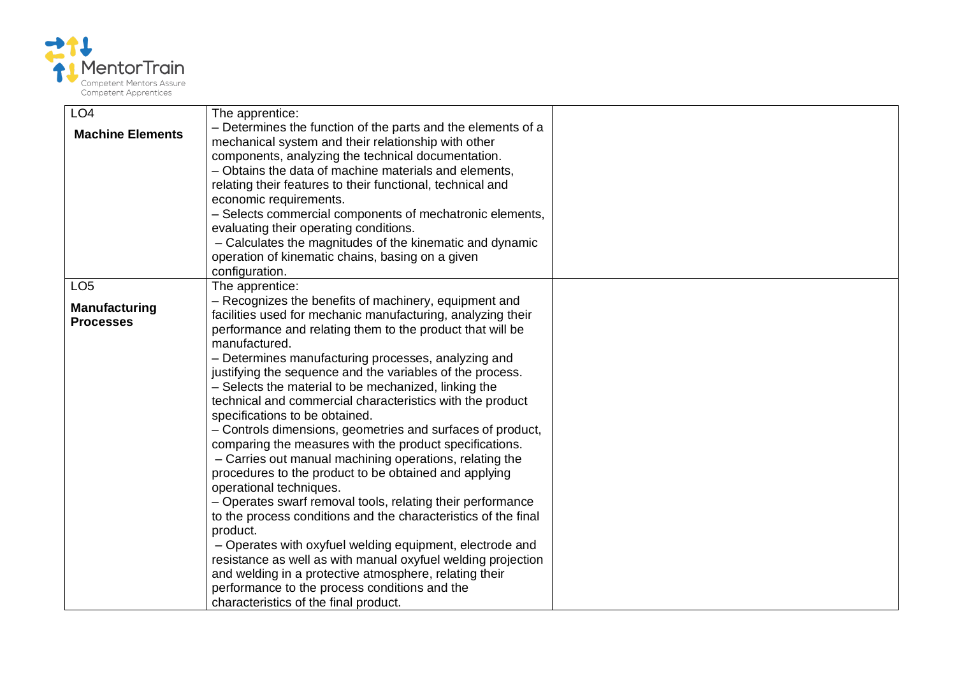

| LO <sub>4</sub>         | The apprentice:                                                                                                      |  |
|-------------------------|----------------------------------------------------------------------------------------------------------------------|--|
| <b>Machine Elements</b> | - Determines the function of the parts and the elements of a                                                         |  |
|                         | mechanical system and their relationship with other                                                                  |  |
|                         | components, analyzing the technical documentation.                                                                   |  |
|                         | - Obtains the data of machine materials and elements,                                                                |  |
|                         | relating their features to their functional, technical and                                                           |  |
|                         | economic requirements.                                                                                               |  |
|                         | - Selects commercial components of mechatronic elements,                                                             |  |
|                         | evaluating their operating conditions.                                                                               |  |
|                         | - Calculates the magnitudes of the kinematic and dynamic                                                             |  |
|                         | operation of kinematic chains, basing on a given                                                                     |  |
|                         | configuration.                                                                                                       |  |
| LO <sub>5</sub>         | The apprentice:                                                                                                      |  |
| <b>Manufacturing</b>    | - Recognizes the benefits of machinery, equipment and<br>facilities used for mechanic manufacturing, analyzing their |  |
| <b>Processes</b>        | performance and relating them to the product that will be                                                            |  |
|                         | manufactured.                                                                                                        |  |
|                         | - Determines manufacturing processes, analyzing and                                                                  |  |
|                         | justifying the sequence and the variables of the process.                                                            |  |
|                         | - Selects the material to be mechanized, linking the                                                                 |  |
|                         | technical and commercial characteristics with the product                                                            |  |
|                         | specifications to be obtained.                                                                                       |  |
|                         | - Controls dimensions, geometries and surfaces of product,                                                           |  |
|                         | comparing the measures with the product specifications.                                                              |  |
|                         | - Carries out manual machining operations, relating the                                                              |  |
|                         | procedures to the product to be obtained and applying                                                                |  |
|                         | operational techniques.                                                                                              |  |
|                         | - Operates swarf removal tools, relating their performance                                                           |  |
|                         | to the process conditions and the characteristics of the final                                                       |  |
|                         | product.                                                                                                             |  |
|                         | - Operates with oxyfuel welding equipment, electrode and                                                             |  |
|                         | resistance as well as with manual oxyfuel welding projection                                                         |  |
|                         | and welding in a protective atmosphere, relating their                                                               |  |
|                         | performance to the process conditions and the                                                                        |  |
|                         | characteristics of the final product.                                                                                |  |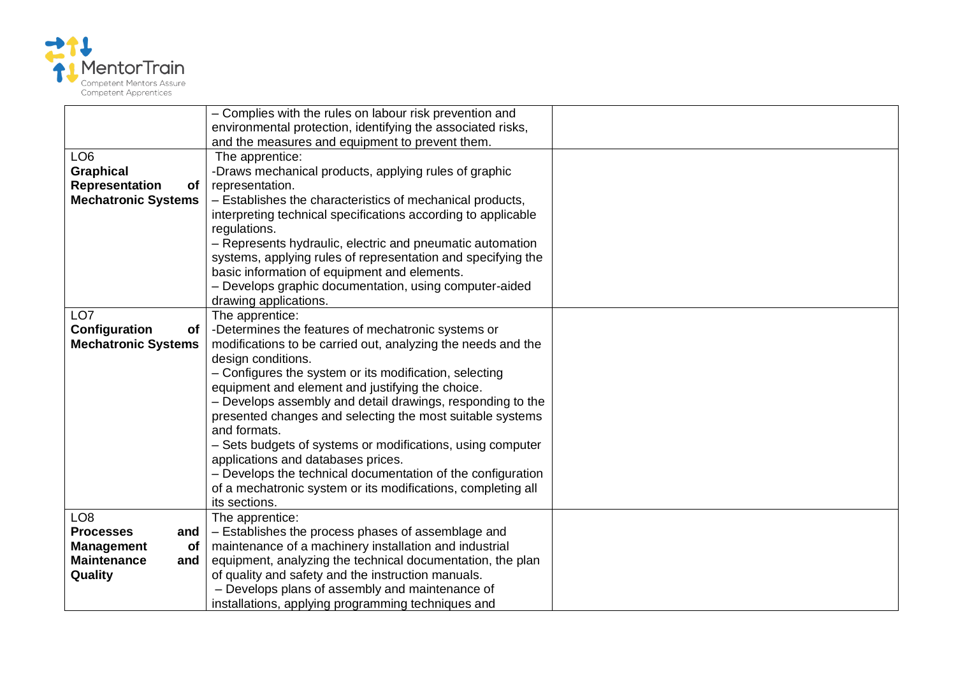

|                                                                                                                                                                                                   | - Complies with the rules on labour risk prevention and                                                                                                                                                                                                                                                                                                                                                                                                                                                                                                                                                                                                                                                                                                                                                                                                                                                                                                                                                                                                                                                                                                                     |  |
|---------------------------------------------------------------------------------------------------------------------------------------------------------------------------------------------------|-----------------------------------------------------------------------------------------------------------------------------------------------------------------------------------------------------------------------------------------------------------------------------------------------------------------------------------------------------------------------------------------------------------------------------------------------------------------------------------------------------------------------------------------------------------------------------------------------------------------------------------------------------------------------------------------------------------------------------------------------------------------------------------------------------------------------------------------------------------------------------------------------------------------------------------------------------------------------------------------------------------------------------------------------------------------------------------------------------------------------------------------------------------------------------|--|
|                                                                                                                                                                                                   | environmental protection, identifying the associated risks,                                                                                                                                                                                                                                                                                                                                                                                                                                                                                                                                                                                                                                                                                                                                                                                                                                                                                                                                                                                                                                                                                                                 |  |
|                                                                                                                                                                                                   | and the measures and equipment to prevent them.                                                                                                                                                                                                                                                                                                                                                                                                                                                                                                                                                                                                                                                                                                                                                                                                                                                                                                                                                                                                                                                                                                                             |  |
| LO <sub>6</sub>                                                                                                                                                                                   | The apprentice:                                                                                                                                                                                                                                                                                                                                                                                                                                                                                                                                                                                                                                                                                                                                                                                                                                                                                                                                                                                                                                                                                                                                                             |  |
| <b>Graphical</b>                                                                                                                                                                                  | -Draws mechanical products, applying rules of graphic                                                                                                                                                                                                                                                                                                                                                                                                                                                                                                                                                                                                                                                                                                                                                                                                                                                                                                                                                                                                                                                                                                                       |  |
| Representation<br>of                                                                                                                                                                              | representation.                                                                                                                                                                                                                                                                                                                                                                                                                                                                                                                                                                                                                                                                                                                                                                                                                                                                                                                                                                                                                                                                                                                                                             |  |
| <b>Mechatronic Systems</b>                                                                                                                                                                        | - Establishes the characteristics of mechanical products,                                                                                                                                                                                                                                                                                                                                                                                                                                                                                                                                                                                                                                                                                                                                                                                                                                                                                                                                                                                                                                                                                                                   |  |
|                                                                                                                                                                                                   | interpreting technical specifications according to applicable                                                                                                                                                                                                                                                                                                                                                                                                                                                                                                                                                                                                                                                                                                                                                                                                                                                                                                                                                                                                                                                                                                               |  |
|                                                                                                                                                                                                   | regulations.                                                                                                                                                                                                                                                                                                                                                                                                                                                                                                                                                                                                                                                                                                                                                                                                                                                                                                                                                                                                                                                                                                                                                                |  |
|                                                                                                                                                                                                   | - Represents hydraulic, electric and pneumatic automation                                                                                                                                                                                                                                                                                                                                                                                                                                                                                                                                                                                                                                                                                                                                                                                                                                                                                                                                                                                                                                                                                                                   |  |
|                                                                                                                                                                                                   | systems, applying rules of representation and specifying the                                                                                                                                                                                                                                                                                                                                                                                                                                                                                                                                                                                                                                                                                                                                                                                                                                                                                                                                                                                                                                                                                                                |  |
|                                                                                                                                                                                                   |                                                                                                                                                                                                                                                                                                                                                                                                                                                                                                                                                                                                                                                                                                                                                                                                                                                                                                                                                                                                                                                                                                                                                                             |  |
|                                                                                                                                                                                                   |                                                                                                                                                                                                                                                                                                                                                                                                                                                                                                                                                                                                                                                                                                                                                                                                                                                                                                                                                                                                                                                                                                                                                                             |  |
|                                                                                                                                                                                                   |                                                                                                                                                                                                                                                                                                                                                                                                                                                                                                                                                                                                                                                                                                                                                                                                                                                                                                                                                                                                                                                                                                                                                                             |  |
|                                                                                                                                                                                                   |                                                                                                                                                                                                                                                                                                                                                                                                                                                                                                                                                                                                                                                                                                                                                                                                                                                                                                                                                                                                                                                                                                                                                                             |  |
|                                                                                                                                                                                                   |                                                                                                                                                                                                                                                                                                                                                                                                                                                                                                                                                                                                                                                                                                                                                                                                                                                                                                                                                                                                                                                                                                                                                                             |  |
|                                                                                                                                                                                                   |                                                                                                                                                                                                                                                                                                                                                                                                                                                                                                                                                                                                                                                                                                                                                                                                                                                                                                                                                                                                                                                                                                                                                                             |  |
|                                                                                                                                                                                                   |                                                                                                                                                                                                                                                                                                                                                                                                                                                                                                                                                                                                                                                                                                                                                                                                                                                                                                                                                                                                                                                                                                                                                                             |  |
|                                                                                                                                                                                                   |                                                                                                                                                                                                                                                                                                                                                                                                                                                                                                                                                                                                                                                                                                                                                                                                                                                                                                                                                                                                                                                                                                                                                                             |  |
|                                                                                                                                                                                                   |                                                                                                                                                                                                                                                                                                                                                                                                                                                                                                                                                                                                                                                                                                                                                                                                                                                                                                                                                                                                                                                                                                                                                                             |  |
|                                                                                                                                                                                                   |                                                                                                                                                                                                                                                                                                                                                                                                                                                                                                                                                                                                                                                                                                                                                                                                                                                                                                                                                                                                                                                                                                                                                                             |  |
|                                                                                                                                                                                                   |                                                                                                                                                                                                                                                                                                                                                                                                                                                                                                                                                                                                                                                                                                                                                                                                                                                                                                                                                                                                                                                                                                                                                                             |  |
|                                                                                                                                                                                                   |                                                                                                                                                                                                                                                                                                                                                                                                                                                                                                                                                                                                                                                                                                                                                                                                                                                                                                                                                                                                                                                                                                                                                                             |  |
|                                                                                                                                                                                                   |                                                                                                                                                                                                                                                                                                                                                                                                                                                                                                                                                                                                                                                                                                                                                                                                                                                                                                                                                                                                                                                                                                                                                                             |  |
|                                                                                                                                                                                                   |                                                                                                                                                                                                                                                                                                                                                                                                                                                                                                                                                                                                                                                                                                                                                                                                                                                                                                                                                                                                                                                                                                                                                                             |  |
|                                                                                                                                                                                                   |                                                                                                                                                                                                                                                                                                                                                                                                                                                                                                                                                                                                                                                                                                                                                                                                                                                                                                                                                                                                                                                                                                                                                                             |  |
|                                                                                                                                                                                                   |                                                                                                                                                                                                                                                                                                                                                                                                                                                                                                                                                                                                                                                                                                                                                                                                                                                                                                                                                                                                                                                                                                                                                                             |  |
|                                                                                                                                                                                                   |                                                                                                                                                                                                                                                                                                                                                                                                                                                                                                                                                                                                                                                                                                                                                                                                                                                                                                                                                                                                                                                                                                                                                                             |  |
|                                                                                                                                                                                                   |                                                                                                                                                                                                                                                                                                                                                                                                                                                                                                                                                                                                                                                                                                                                                                                                                                                                                                                                                                                                                                                                                                                                                                             |  |
|                                                                                                                                                                                                   |                                                                                                                                                                                                                                                                                                                                                                                                                                                                                                                                                                                                                                                                                                                                                                                                                                                                                                                                                                                                                                                                                                                                                                             |  |
|                                                                                                                                                                                                   |                                                                                                                                                                                                                                                                                                                                                                                                                                                                                                                                                                                                                                                                                                                                                                                                                                                                                                                                                                                                                                                                                                                                                                             |  |
|                                                                                                                                                                                                   |                                                                                                                                                                                                                                                                                                                                                                                                                                                                                                                                                                                                                                                                                                                                                                                                                                                                                                                                                                                                                                                                                                                                                                             |  |
|                                                                                                                                                                                                   |                                                                                                                                                                                                                                                                                                                                                                                                                                                                                                                                                                                                                                                                                                                                                                                                                                                                                                                                                                                                                                                                                                                                                                             |  |
|                                                                                                                                                                                                   |                                                                                                                                                                                                                                                                                                                                                                                                                                                                                                                                                                                                                                                                                                                                                                                                                                                                                                                                                                                                                                                                                                                                                                             |  |
| LO <sub>7</sub><br>Configuration<br>of<br><b>Mechatronic Systems</b><br>LO <sub>8</sub><br><b>Processes</b><br>and $\parallel$<br><b>Management</b><br>of<br><b>Maintenance</b><br>and<br>Quality | basic information of equipment and elements.<br>- Develops graphic documentation, using computer-aided<br>drawing applications.<br>The apprentice:<br>-Determines the features of mechatronic systems or<br>modifications to be carried out, analyzing the needs and the<br>design conditions.<br>- Configures the system or its modification, selecting<br>equipment and element and justifying the choice.<br>- Develops assembly and detail drawings, responding to the<br>presented changes and selecting the most suitable systems<br>and formats.<br>- Sets budgets of systems or modifications, using computer<br>applications and databases prices.<br>- Develops the technical documentation of the configuration<br>of a mechatronic system or its modifications, completing all<br>its sections.<br>The apprentice:<br>- Establishes the process phases of assemblage and<br>maintenance of a machinery installation and industrial<br>equipment, analyzing the technical documentation, the plan<br>of quality and safety and the instruction manuals.<br>- Develops plans of assembly and maintenance of<br>installations, applying programming techniques and |  |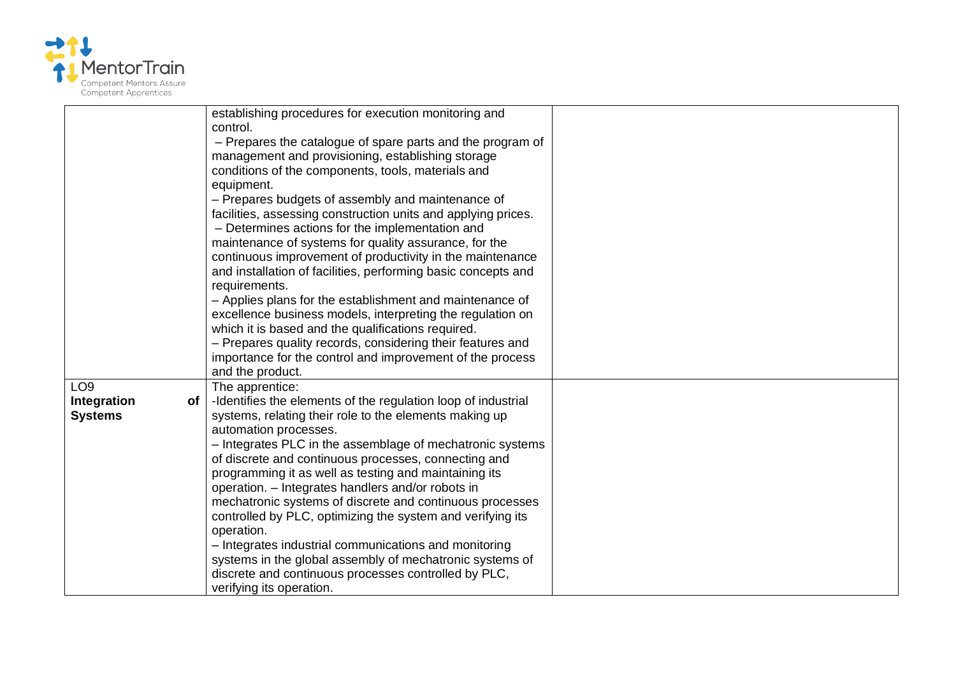

|                   | establishing procedures for execution monitoring and          |  |
|-------------------|---------------------------------------------------------------|--|
|                   | control.                                                      |  |
|                   | - Prepares the catalogue of spare parts and the program of    |  |
|                   | management and provisioning, establishing storage             |  |
|                   | conditions of the components, tools, materials and            |  |
|                   | equipment.                                                    |  |
|                   | - Prepares budgets of assembly and maintenance of             |  |
|                   | facilities, assessing construction units and applying prices. |  |
|                   | - Determines actions for the implementation and               |  |
|                   | maintenance of systems for quality assurance, for the         |  |
|                   | continuous improvement of productivity in the maintenance     |  |
|                   | and installation of facilities, performing basic concepts and |  |
|                   | requirements.                                                 |  |
|                   | - Applies plans for the establishment and maintenance of      |  |
|                   | excellence business models, interpreting the regulation on    |  |
|                   | which it is based and the qualifications required.            |  |
|                   | - Prepares quality records, considering their features and    |  |
|                   | importance for the control and improvement of the process     |  |
|                   | and the product.                                              |  |
| LO <sub>9</sub>   | The apprentice:                                               |  |
| Integration<br>of | -Identifies the elements of the regulation loop of industrial |  |
| <b>Systems</b>    | systems, relating their role to the elements making up        |  |
|                   | automation processes.                                         |  |
|                   | - Integrates PLC in the assemblage of mechatronic systems     |  |
|                   | of discrete and continuous processes, connecting and          |  |
|                   | programming it as well as testing and maintaining its         |  |
|                   | operation. - Integrates handlers and/or robots in             |  |
|                   | mechatronic systems of discrete and continuous processes      |  |
|                   | controlled by PLC, optimizing the system and verifying its    |  |
|                   | operation.                                                    |  |
|                   | - Integrates industrial communications and monitoring         |  |
|                   | systems in the global assembly of mechatronic systems of      |  |
|                   | discrete and continuous processes controlled by PLC,          |  |
|                   | verifying its operation.                                      |  |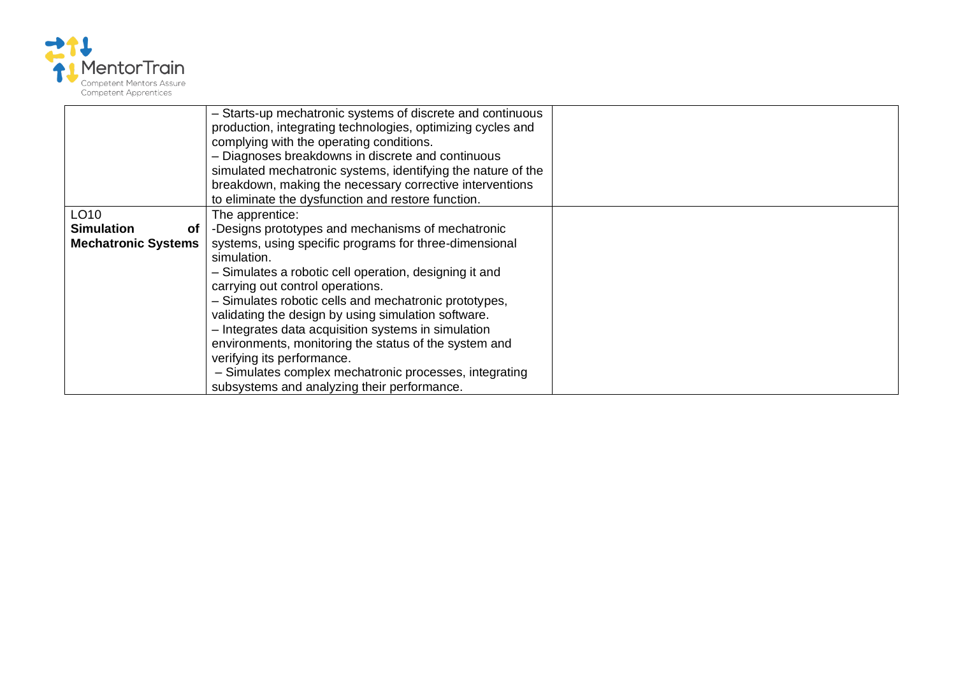

|                            | - Starts-up mechatronic systems of discrete and continuous<br>production, integrating technologies, optimizing cycles and<br>complying with the operating conditions.<br>- Diagnoses breakdowns in discrete and continuous<br>simulated mechatronic systems, identifying the nature of the<br>breakdown, making the necessary corrective interventions |  |
|----------------------------|--------------------------------------------------------------------------------------------------------------------------------------------------------------------------------------------------------------------------------------------------------------------------------------------------------------------------------------------------------|--|
|                            | to eliminate the dysfunction and restore function.                                                                                                                                                                                                                                                                                                     |  |
| LO10                       | The apprentice:                                                                                                                                                                                                                                                                                                                                        |  |
| <b>Simulation</b><br>0t    | -Designs prototypes and mechanisms of mechatronic                                                                                                                                                                                                                                                                                                      |  |
| <b>Mechatronic Systems</b> | systems, using specific programs for three-dimensional                                                                                                                                                                                                                                                                                                 |  |
|                            | simulation.                                                                                                                                                                                                                                                                                                                                            |  |
|                            | - Simulates a robotic cell operation, designing it and                                                                                                                                                                                                                                                                                                 |  |
|                            | carrying out control operations.                                                                                                                                                                                                                                                                                                                       |  |
|                            | - Simulates robotic cells and mechatronic prototypes,                                                                                                                                                                                                                                                                                                  |  |
|                            | validating the design by using simulation software.                                                                                                                                                                                                                                                                                                    |  |
|                            | - Integrates data acquisition systems in simulation                                                                                                                                                                                                                                                                                                    |  |
|                            | environments, monitoring the status of the system and                                                                                                                                                                                                                                                                                                  |  |
|                            | verifying its performance.                                                                                                                                                                                                                                                                                                                             |  |
|                            | - Simulates complex mechatronic processes, integrating                                                                                                                                                                                                                                                                                                 |  |
|                            | subsystems and analyzing their performance.                                                                                                                                                                                                                                                                                                            |  |